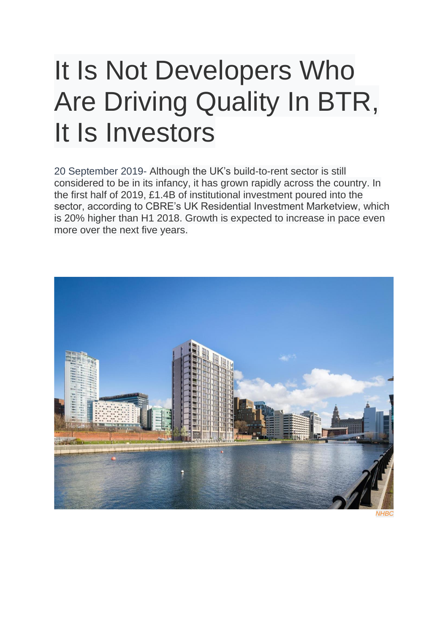## It Is Not Developers Who Are Driving Quality In BTR, It Is Investors

20 September 2019- Although the UK's build-to-rent sector is still considered to be in its infancy, it has grown rapidly across the country. In the first half of 2019, £1.4B of institutional investment poured into the sector, according to CBRE's UK Residential Investment Marketview, which is 20% higher than H1 2018. Growth is expected to increase in pace even more over the next five years.



*NHBC*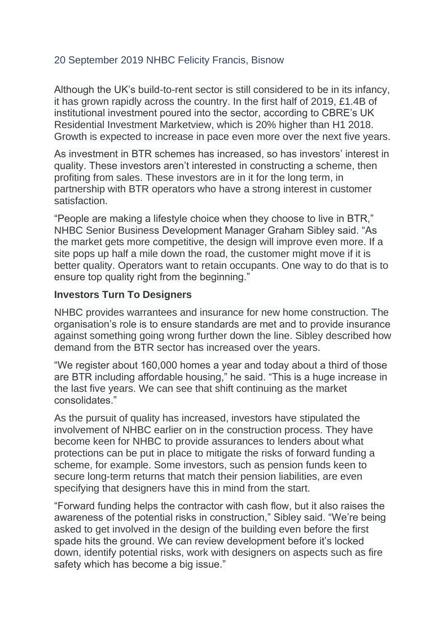## 20 September 2019 [NHBC](https://www.bisnow.com/blogs/nhbc) [Felicity Francis, Bisnow](https://www.bisnow.com/author/felicity-francis-184118)

Although the UK's build-to-rent sector is still considered to be in its infancy, it has grown rapidly across the country. In the first half of 2019, £1.4B of institutional investment poured into the sector, according to CBRE's UK Residential Investment Marketview, which is 20% higher than H1 2018. Growth is expected to increase in pace even more over the next five years.

As investment in BTR schemes has increased, so has investors' interest in quality. These investors aren't interested in constructing a scheme, then profiting from sales. These investors are in it for the long term, in partnership with BTR operators who have a strong interest in customer satisfaction.

"People are making a lifestyle choice when they choose to live in BTR," NHBC Senior Business Development Manager Graham Sibley said. "As the market gets more competitive, the design will improve even more. If a site pops up half a mile down the road, the customer might move if it is better quality. Operators want to retain occupants. One way to do that is to ensure top quality right from the beginning."

## **Investors Turn To Designers**

NHBC provides warrantees and insurance for new home construction. The organisation's role is to ensure standards are met and to provide insurance against something going wrong further down the line. Sibley described how demand from the BTR sector has increased over the years.

"We register about 160,000 homes a year and today about a third of those are BTR including affordable housing," he said. "This is a huge increase in the last five years. We can see that shift continuing as the market consolidates."

As the pursuit of quality has increased, investors have stipulated the involvement of NHBC earlier on in the construction process. They have become keen for NHBC to provide assurances to lenders about what protections can be put in place to mitigate the risks of forward funding a scheme, for example. Some investors, such as pension funds keen to secure long-term returns that match their pension liabilities, are even specifying that designers have this in mind from the start.

"Forward funding helps the contractor with cash flow, but it also raises the awareness of the potential risks in construction," Sibley said. "We're being asked to get involved in the design of the building even before the first spade hits the ground. We can review development before it's locked down, identify potential risks, work with designers on aspects such as fire safety which has become a big issue."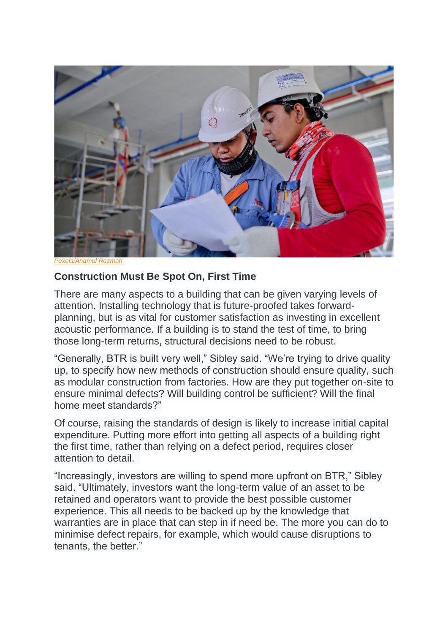

*[Pexels/Anamul Rezman](https://www.pexels.com/photo/two-man-holding-white-paper-1216589/)*

## **Construction Must Be Spot On, First Time**

There are many aspects to a building that can be given varying levels of attention. Installing technology that is future-proofed takes forwardplanning, but is as vital for customer satisfaction as investing in excellent acoustic performance. If a building is to stand the test of time, to bring those long-term returns, structural decisions need to be robust.

"Generally, BTR is built very well," Sibley said. "We're trying to drive quality up, to specify how new methods of construction should ensure quality, such as modular construction from factories. How are they put together on-site to ensure minimal defects? Will building control be sufficient? Will the final home meet standards?"

Of course, raising the standards of design is likely to increase initial capital expenditure. Putting more effort into getting all aspects of a building right the first time, rather than relying on a defect period, requires closer attention to detail.

"Increasingly, investors are willing to spend more upfront on BTR," Sibley said. "Ultimately, investors want the long-term value of an asset to be retained and operators want to provide the best possible customer experience. This all needs to be backed up by the knowledge that warranties are in place that can step in if need be. The more you can do to minimise defect repairs, for example, which would cause disruptions to tenants, the better."